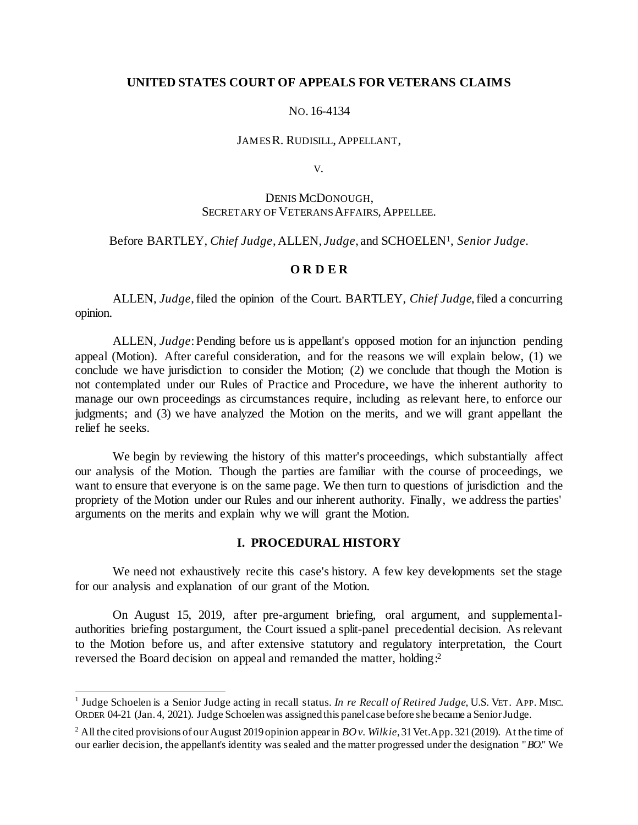## **UNITED STATES COURT OF APPEALS FOR VETERANS CLAIMS**

## NO. 16-4134

#### JAMES R. RUDISILL, APPELLANT,

V.

# DENIS MCDONOUGH, SECRETARY OF VETERANS AFFAIRS, APPELLEE.

## Before BARTLEY, *Chief Judge*, ALLEN, *Judge*, and SCHOELEN<sup>1</sup> , *Senior Judge.*

## **O R D E R**

ALLEN, *Judge*, filed the opinion of the Court. BARTLEY, *Chief Judge*, filed a concurring opinion.

ALLEN, *Judge*: Pending before us is appellant's opposed motion for an injunction pending appeal (Motion). After careful consideration, and for the reasons we will explain below, (1) we conclude we have jurisdiction to consider the Motion; (2) we conclude that though the Motion is not contemplated under our Rules of Practice and Procedure, we have the inherent authority to manage our own proceedings as circumstances require, including as relevant here, to enforce our judgments; and (3) we have analyzed the Motion on the merits, and we will grant appellant the relief he seeks.

We begin by reviewing the history of this matter's proceedings, which substantially affect our analysis of the Motion. Though the parties are familiar with the course of proceedings, we want to ensure that everyone is on the same page. We then turn to questions of jurisdiction and the propriety of the Motion under our Rules and our inherent authority. Finally, we address the parties' arguments on the merits and explain why we will grant the Motion.

## **I. PROCEDURAL HISTORY**

We need not exhaustively recite this case's history. A few key developments set the stage for our analysis and explanation of our grant of the Motion.

On August 15, 2019, after pre-argument briefing, oral argument, and supplementalauthorities briefing postargument, the Court issued a split-panel precedential decision. As relevant to the Motion before us, and after extensive statutory and regulatory interpretation, the Court reversed the Board decision on appeal and remanded the matter, holding:<sup>2</sup>

j

<sup>&</sup>lt;sup>1</sup> Judge Schoelen is a Senior Judge acting in recall status. *In re Recall of Retired Judge*, U.S. VET. APP. MISC. ORDER 04-21 (Jan. 4, 2021). Judge Schoelen was assigned this panel case before she became a Senior Judge.

<sup>2</sup> All the cited provisions of our August 2019 opinion appear in *BO v. Wilkie*, 31 Vet.App. 321 (2019). At the time of our earlier decision, the appellant's identity was sealed and the matter progressed under the designation "*BO*." We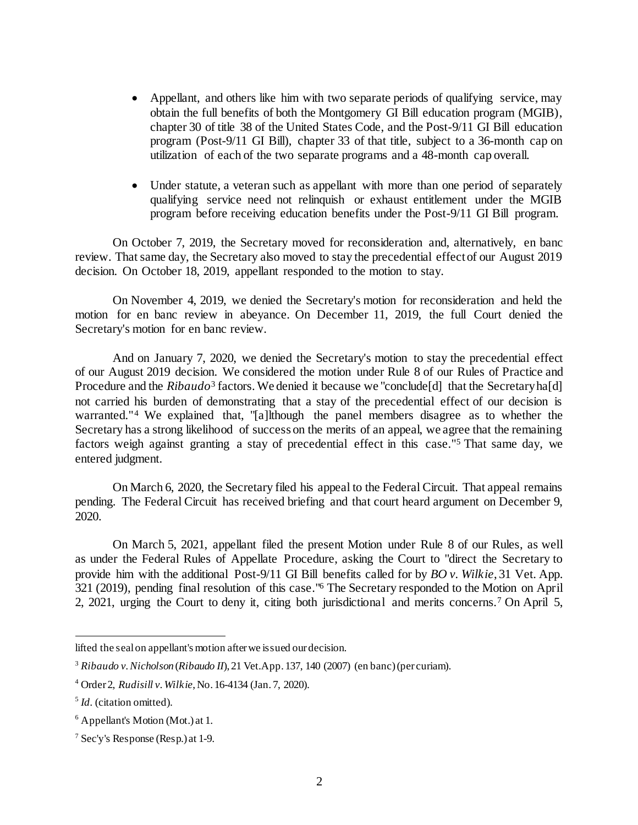- Appellant, and others like him with two separate periods of qualifying service, may obtain the full benefits of both the Montgomery GI Bill education program (MGIB), chapter 30 of title 38 of the United States Code, and the Post-9/11 GI Bill education program (Post-9/11 GI Bill), chapter 33 of that title, subject to a 36-month cap on utilization of each of the two separate programs and a 48-month cap overall.
- Under statute, a veteran such as appellant with more than one period of separately qualifying service need not relinquish or exhaust entitlement under the MGIB program before receiving education benefits under the Post-9/11 GI Bill program.

On October 7, 2019, the Secretary moved for reconsideration and, alternatively, en banc review. That same day, the Secretary also moved to stay the precedential effect of our August 2019 decision. On October 18, 2019, appellant responded to the motion to stay.

On November 4, 2019, we denied the Secretary's motion for reconsideration and held the motion for en banc review in abeyance. On December 11, 2019, the full Court denied the Secretary's motion for en banc review.

And on January 7, 2020, we denied the Secretary's motion to stay the precedential effect of our August 2019 decision. We considered the motion under Rule 8 of our Rules of Practice and Procedure and the *Ribaudo*<sup>3</sup> factors. We denied it because we "conclude[d] that the Secretary ha[d] not carried his burden of demonstrating that a stay of the precedential effect of our decision is warranted."<sup>4</sup> We explained that, "[a]lthough the panel members disagree as to whether the Secretary has a strong likelihood of success on the merits of an appeal, we agree that the remaining factors weigh against granting a stay of precedential effect in this case."<sup>5</sup> That same day, we entered judgment.

On March 6, 2020, the Secretary filed his appeal to the Federal Circuit. That appeal remains pending. The Federal Circuit has received briefing and that court heard argument on December 9, 2020.

On March 5, 2021, appellant filed the present Motion under Rule 8 of our Rules, as well as under the Federal Rules of Appellate Procedure, asking the Court to "direct the Secretary to provide him with the additional Post-9/11 GI Bill benefits called for by *BO v. Wilkie*, 31 Vet. App. 321 (2019), pending final resolution of this case."<sup>6</sup> The Secretary responded to the Motion on April 2, 2021, urging the Court to deny it, citing both jurisdictional and merits concerns.<sup>7</sup> On April 5,

lifted the seal on appellant's motion after we issued our decision.

<sup>3</sup> *Ribaudo v. Nicholson* (*Ribaudo II*), 21 Vet.App. 137, 140 (2007) (en banc) (per curiam).

<sup>4</sup> Order 2, *Rudisill v. Wilkie*, No. 16-4134 (Jan. 7, 2020).

<sup>5</sup> *Id.* (citation omitted).

 $6$  Appellant's Motion (Mot.) at 1.

<sup>7</sup> Sec'y's Response (Resp.) at 1-9.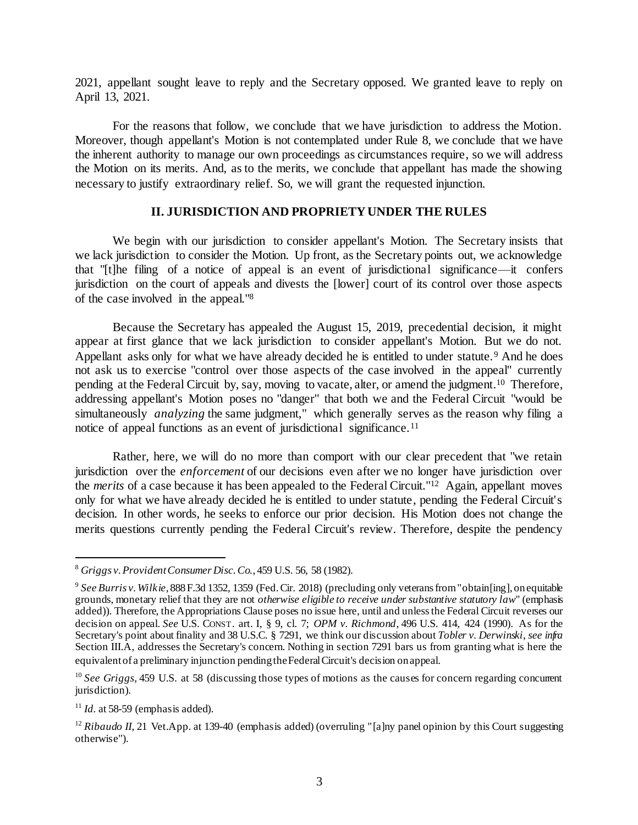2021, appellant sought leave to reply and the Secretary opposed. We granted leave to reply on April 13, 2021.

For the reasons that follow, we conclude that we have jurisdiction to address the Motion. Moreover, though appellant's Motion is not contemplated under Rule 8, we conclude that we have the inherent authority to manage our own proceedings as circumstances require, so we will address the Motion on its merits. And, as to the merits, we conclude that appellant has made the showing necessary to justify extraordinary relief. So, we will grant the requested injunction.

## **II. JURISDICTION AND PROPRIETY UNDER THE RULES**

We begin with our jurisdiction to consider appellant's Motion. The Secretary insists that we lack jurisdiction to consider the Motion. Up front, as the Secretary points out, we acknowledge that "[t]he filing of a notice of appeal is an event of jurisdictional significance—it confers jurisdiction on the court of appeals and divests the [lower] court of its control over those aspects of the case involved in the appeal."<sup>8</sup>

Because the Secretary has appealed the August 15, 2019, precedential decision, it might appear at first glance that we lack jurisdiction to consider appellant's Motion. But we do not. Appellant asks only for what we have already decided he is entitled to under statute.<sup>9</sup> And he does not ask us to exercise "control over those aspects of the case involved in the appeal" currently pending at the Federal Circuit by, say, moving to vacate, alter, or amend the judgment.<sup>10</sup> Therefore, addressing appellant's Motion poses no "danger" that both we and the Federal Circuit "would be simultaneously *analyzing* the same judgment," which generally serves as the reason why filing a notice of appeal functions as an event of jurisdictional significance.<sup>11</sup>

Rather, here, we will do no more than comport with our clear precedent that "we retain jurisdiction over the *enforcement* of our decisions even after we no longer have jurisdiction over the *merits* of a case because it has been appealed to the Federal Circuit."<sup>12</sup> Again, appellant moves only for what we have already decided he is entitled to under statute, pending the Federal Circuit's decision. In other words, he seeks to enforce our prior decision. His Motion does not change the merits questions currently pending the Federal Circuit's review. Therefore, despite the pendency

<sup>8</sup> *Griggs v. Provident Consumer Disc. Co.*, 459 U.S. 56, 58 (1982).

<sup>9</sup> *See Burris v. Wilkie*, 888 F.3d 1352, 1359 (Fed. Cir. 2018) (precluding only veterans from "obtain[ing], on equitable grounds, monetary relief that they are not *otherwise eligible to receive under substantive statutory law*" (emphasis added)). Therefore, the Appropriations Clause poses no issue here, until and unless the Federal Circuit reverses our decision on appeal. *See* U.S. CONST. art. I, § 9, cl. 7; *OPM v. Richmond*, 496 U.S. 414, 424 (1990). As for the Secretary's point about finality and 38 U.S.C. § 7291, we think our discussion about *Tobler v. Derwinski*, *see infra* Section III.A, addresses the Secretary's concern. Nothing in section 7291 bars us from granting what is here the equivalent of a preliminary injunction pending the Federal Circuit's decision on appeal.

<sup>&</sup>lt;sup>10</sup> *See Griggs*, 459 U.S. at 58 (discussing those types of motions as the causes for concern regarding concurrent jurisdiction).

 $11$  *Id.* at 58-59 (emphasis added).

<sup>&</sup>lt;sup>12</sup> *Ribaudo II*, 21 Vet.App. at 139-40 (emphasis added) (overruling "[a]ny panel opinion by this Court suggesting otherwise").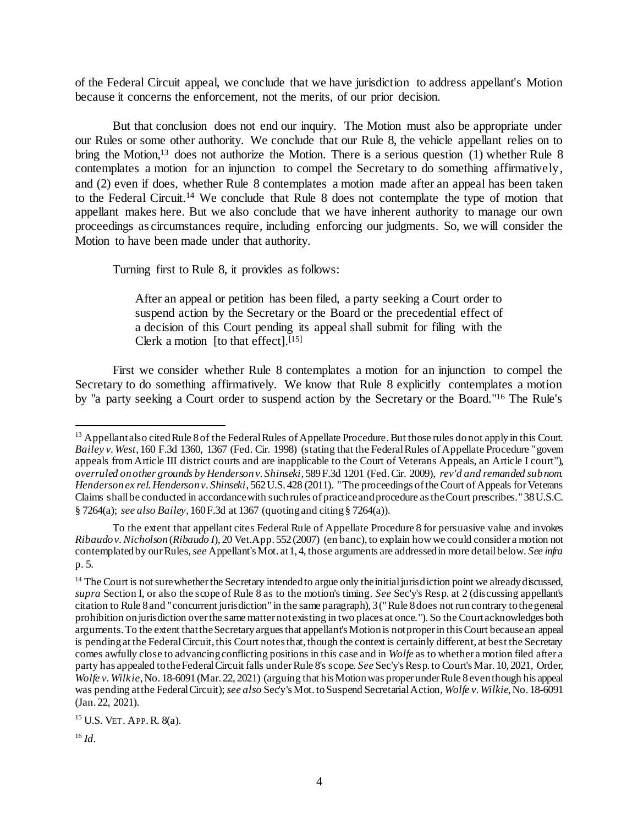of the Federal Circuit appeal, we conclude that we have jurisdiction to address appellant's Motion because it concerns the enforcement, not the merits, of our prior decision.

But that conclusion does not end our inquiry. The Motion must also be appropriate under our Rules or some other authority. We conclude that our Rule 8, the vehicle appellant relies on to bring the Motion,<sup>13</sup> does not authorize the Motion. There is a serious question (1) whether Rule 8 contemplates a motion for an injunction to compel the Secretary to do something affirmatively, and (2) even if does, whether Rule 8 contemplates a motion made after an appeal has been taken to the Federal Circuit. <sup>14</sup> We conclude that Rule 8 does not contemplate the type of motion that appellant makes here. But we also conclude that we have inherent authority to manage our own proceedings as circumstances require, including enforcing our judgments. So, we will consider the Motion to have been made under that authority.

Turning first to Rule 8, it provides as follows:

After an appeal or petition has been filed, a party seeking a Court order to suspend action by the Secretary or the Board or the precedential effect of a decision of this Court pending its appeal shall submit for filing with the Clerk a motion [to that effect]. $[15]$ 

First we consider whether Rule 8 contemplates a motion for an injunction to compel the Secretary to do something affirmatively. We know that Rule 8 explicitly contemplates a motion by "a party seeking a Court order to suspend action by the Secretary or the Board."<sup>16</sup> The Rule's

j

<sup>&</sup>lt;sup>13</sup> Appellant also cited Rule 8 of the Federal Rules of Appellate Procedure. But those rules do not apply in this Court. *Bailey v. West*, 160 F.3d 1360, 1367 (Fed. Cir. 1998) (stating that the Federal Rules of Appellate Procedure "govern appeals from Article III district courts and are inapplicable to the Court of Veterans Appeals, an Article I court"), *overruled on other grounds by Henderson v. Shinseki*, 589 F.3d 1201 (Fed. Cir. 2009), *rev'd and remanded sub nom. Henderson ex rel. Henderson v. Shinseki*, 562 U.S. 428 (2011). "The proceedings of the Court of Appeals for Veterans Claims shall be conducted in accordance with such rules of practice and procedure as the Court prescribes." 38 U.S.C. § 7264(a); *see also Bailey*, 160 F.3d at 1367 (quoting and citing § 7264(a)).

To the extent that appellant cites Federal Rule of Appellate Procedure 8 for persuasive value and invokes *Ribaudo v. Nicholson* (*Ribaudo I*), 20 Vet.App. 552 (2007) (en banc), to explain how we could consider a motion not contemplated by our Rules,*see* Appellant's Mot. at 1, 4, those arguments are addressed in more detail below. *See infra*  p. 5.

<sup>&</sup>lt;sup>14</sup> The Court is not sure whether the Secretary intended to argue only the initial jurisdiction point we already discussed, *supra* Section I, or also the scope of Rule 8 as to the motion's timing. *See* Sec'y's Resp. at 2 (discussing appellant's citation to Rule 8 and "concurrent jurisdiction" in the same paragraph), 3 ("Rule 8 does not run contrary to the general prohibition on jurisdiction over the same matter not existing in two places at once."). So the Court acknowledges both arguments. To the extent that the Secretary argues that appellant's Motion is not proper in this Court because an appeal is pending at the Federal Circuit, this Court notes that, though the context is certainly different, at best the Secretary comes awfully close to advancing conflicting positions in this case and in *Wolfe* as to whether a motion filed after a party has appealed to the Federal Circuit falls under Rule 8's scope. *See* Sec'y's Resp. to Court's Mar. 10, 2021, Order, *Wolfe v. Wilkie*, No. 18-6091 (Mar. 22, 2021) (arguing that his Motion was proper under Rule 8 even though his appeal was pending at the Federal Circuit); *see also* Sec'y's Mot. to Suspend Secretarial Action, *Wolfe v. Wilkie*, No. 18-6091 (Jan. 22, 2021).

<sup>15</sup> U.S. VET. APP.R. 8(a).

<sup>16</sup> *Id.*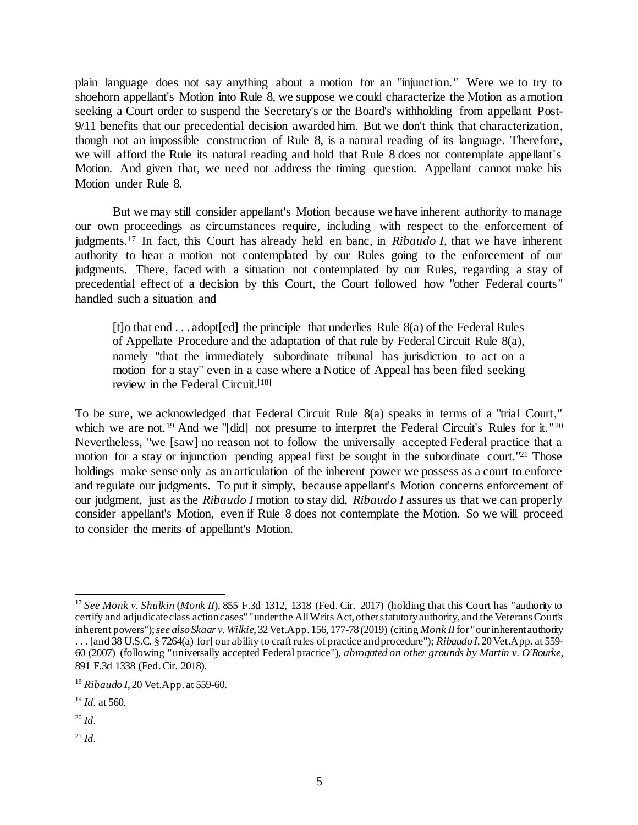plain language does not say anything about a motion for an "injunction." Were we to try to shoehorn appellant's Motion into Rule 8, we suppose we could characterize the Motion as a motion seeking a Court order to suspend the Secretary's or the Board's withholding from appellant Post-9/11 benefits that our precedential decision awarded him. But we don't think that characterization, though not an impossible construction of Rule 8, is a natural reading of its language. Therefore, we will afford the Rule its natural reading and hold that Rule 8 does not contemplate appellant's Motion. And given that, we need not address the timing question. Appellant cannot make his Motion under Rule 8.

But we may still consider appellant's Motion because we have inherent authority to manage our own proceedings as circumstances require, including with respect to the enforcement of judgments.<sup>17</sup> In fact, this Court has already held en banc, in *Ribaudo I*, that we have inherent authority to hear a motion not contemplated by our Rules going to the enforcement of our judgments. There, faced with a situation not contemplated by our Rules, regarding a stay of precedential effect of a decision by this Court, the Court followed how "other Federal courts" handled such a situation and

[t]o that end  $\dots$  adopt[ed] the principle that underlies Rule  $8(a)$  of the Federal Rules of Appellate Procedure and the adaptation of that rule by Federal Circuit Rule 8(a), namely "that the immediately subordinate tribunal has jurisdiction to act on a motion for a stay" even in a case where a Notice of Appeal has been filed seeking review in the Federal Circuit.[18]

To be sure, we acknowledged that Federal Circuit Rule 8(a) speaks in terms of a "trial Court," which we are not.<sup>19</sup> And we "[did] not presume to interpret the Federal Circuit's Rules for it."<sup>20</sup> Nevertheless, "we [saw] no reason not to follow the universally accepted Federal practice that a motion for a stay or injunction pending appeal first be sought in the subordinate court."<sup>21</sup> Those holdings make sense only as an articulation of the inherent power we possess as a court to enforce and regulate our judgments. To put it simply, because appellant's Motion concerns enforcement of our judgment, just as the *Ribaudo I* motion to stay did, *Ribaudo I* assures us that we can properly consider appellant's Motion, even if Rule 8 does not contemplate the Motion. So we will proceed to consider the merits of appellant's Motion.

<sup>20</sup> *Id.*

 $^{21}$  *Id*.

l <sup>17</sup> See Monk v. Shulkin (Monk II), 855 F.3d 1312, 1318 (Fed. Cir. 2017) (holding that this Court has "authority to certify and adjudicate class action cases" "under the All Writs Act, other statutory authority, and the Veterans Court's inherent powers"); *see also Skaar v. Wilkie*, 32 Vet.App. 156, 177-78 (2019) (citing *Monk II*for "our inherent authority . . . [and 38 U.S.C. § 7264(a) for] our ability to craft rules of practice and procedure"); *Ribaudo I*, 20 Vet.App. at 559- 60 (2007) (following "universally accepted Federal practice"), *abrogated on other grounds by Martin v. O'Rourke*, 891 F.3d 1338 (Fed. Cir. 2018).

<sup>18</sup> *Ribaudo I*, 20 Vet.App. at 559-60.

<sup>19</sup> *Id.* at 560.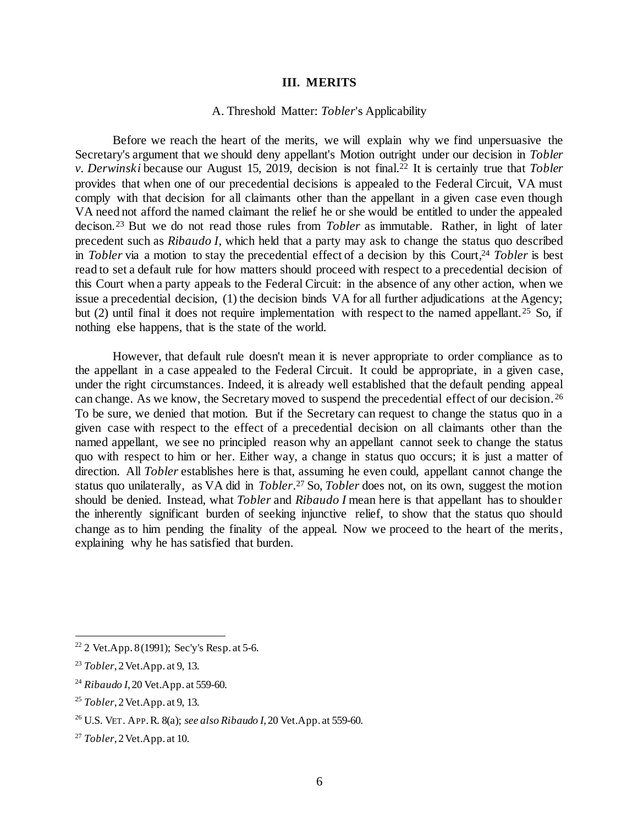## **III. MERITS**

## A. Threshold Matter: *Tobler*'s Applicability

Before we reach the heart of the merits, we will explain why we find unpersuasive the Secretary's argument that we should deny appellant's Motion outright under our decision in *Tobler v. Derwinski* because our August 15, 2019, decision is not final. <sup>22</sup> It is certainly true that *Tobler* provides that when one of our precedential decisions is appealed to the Federal Circuit, VA must comply with that decision for all claimants other than the appellant in a given case even though VA need not afford the named claimant the relief he or she would be entitled to under the appealed decison. <sup>23</sup> But we do not read those rules from *Tobler* as immutable. Rather, in light of later precedent such as *Ribaudo I*, which held that a party may ask to change the status quo described in *Tobler* via a motion to stay the precedential effect of a decision by this Court, <sup>24</sup> *Tobler* is best read to set a default rule for how matters should proceed with respect to a precedential decision of this Court when a party appeals to the Federal Circuit: in the absence of any other action, when we issue a precedential decision, (1) the decision binds VA for all further adjudications at the Agency; but (2) until final it does not require implementation with respect to the named appellant.<sup>25</sup> So, if nothing else happens, that is the state of the world.

However, that default rule doesn't mean it is never appropriate to order compliance as to the appellant in a case appealed to the Federal Circuit. It could be appropriate, in a given case, under the right circumstances. Indeed, it is already well established that the default pending appeal can change. As we know, the Secretary moved to suspend the precedential effect of our decision. <sup>26</sup> To be sure, we denied that motion. But if the Secretary can request to change the status quo in a given case with respect to the effect of a precedential decision on all claimants other than the named appellant, we see no principled reason why an appellant cannot seek to change the status quo with respect to him or her. Either way, a change in status quo occurs; it is just a matter of direction. All *Tobler* establishes here is that, assuming he even could, appellant cannot change the status quo unilaterally, as VA did in *Tobler*. <sup>27</sup> So, *Tobler* does not, on its own, suggest the motion should be denied. Instead, what *Tobler* and *Ribaudo I* mean here is that appellant has to shoulder the inherently significant burden of seeking injunctive relief, to show that the status quo should change as to him pending the finality of the appeal. Now we proceed to the heart of the merits, explaining why he has satisfied that burden.

<sup>&</sup>lt;sup>22</sup> 2 Vet.App. 8 (1991); Sec'y's Resp. at 5-6.

<sup>23</sup> *Tobler*, 2 Vet.App. at 9, 13.

<sup>24</sup> *Ribaudo I*, 20 Vet.App. at 559-60.

<sup>25</sup> *Tobler*, 2 Vet.App. at 9, 13.

<sup>26</sup> U.S. VET. APP.R. 8(a); *see also Ribaudo I*, 20 Vet.App. at 559-60.

<sup>27</sup> *Tobler*, 2 Vet.App. at 10.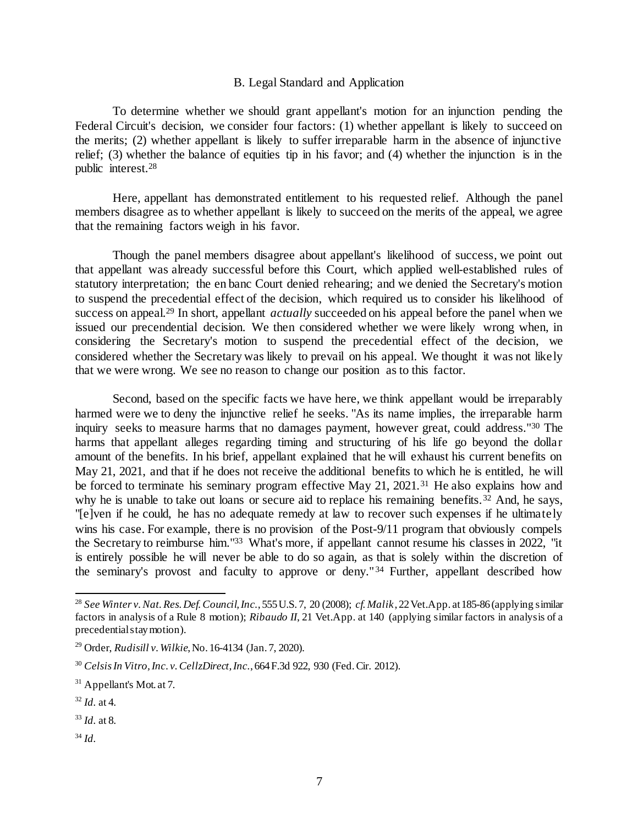## B. Legal Standard and Application

To determine whether we should grant appellant's motion for an injunction pending the Federal Circuit's decision, we consider four factors: (1) whether appellant is likely to succeed on the merits; (2) whether appellant is likely to suffer irreparable harm in the absence of injunctive relief; (3) whether the balance of equities tip in his favor; and (4) whether the injunction is in the public interest.<sup>28</sup>

Here, appellant has demonstrated entitlement to his requested relief. Although the panel members disagree as to whether appellant is likely to succeed on the merits of the appeal, we agree that the remaining factors weigh in his favor.

Though the panel members disagree about appellant's likelihood of success, we point out that appellant was already successful before this Court, which applied well-established rules of statutory interpretation; the en banc Court denied rehearing; and we denied the Secretary's motion to suspend the precedential effect of the decision, which required us to consider his likelihood of success on appeal. <sup>29</sup> In short, appellant *actually* succeeded on his appeal before the panel when we issued our precendential decision. We then considered whether we were likely wrong when, in considering the Secretary's motion to suspend the precedential effect of the decision, we considered whether the Secretary was likely to prevail on his appeal. We thought it was not likely that we were wrong. We see no reason to change our position as to this factor.

Second, based on the specific facts we have here, we think appellant would be irreparably harmed were we to deny the injunctive relief he seeks. "As its name implies, the irreparable harm inquiry seeks to measure harms that no damages payment, however great, could address."<sup>30</sup> The harms that appellant alleges regarding timing and structuring of his life go beyond the dollar amount of the benefits. In his brief, appellant explained that he will exhaust his current benefits on May 21, 2021, and that if he does not receive the additional benefits to which he is entitled, he will be forced to terminate his seminary program effective May 21, 2021.<sup>31</sup> He also explains how and why he is unable to take out loans or secure aid to replace his remaining benefits.  $3\overline{2}$  And, he says, "[e]ven if he could, he has no adequate remedy at law to recover such expenses if he ultimately wins his case. For example, there is no provision of the Post-9/11 program that obviously compels the Secretary to reimburse him."<sup>33</sup> What's more, if appellant cannot resume his classes in 2022, "it is entirely possible he will never be able to do so again, as that is solely within the discretion of the seminary's provost and faculty to approve or deny." <sup>34</sup> Further, appellant described how

<sup>34</sup> *Id.*

<sup>28</sup> *See Winter v. Nat. Res. Def. Council, Inc.*, 555 U.S. 7, 20 (2008); *cf. Malik*, 22 Vet.App. at 185-86 (applying similar factors in analysis of a Rule 8 motion); *Ribaudo II*, 21 Vet.App. at 140 (applying similar factors in analysis of a precedential stay motion).

<sup>29</sup> Order, *Rudisill v. Wilkie*, No. 16-4134 (Jan. 7, 2020).

<sup>30</sup> *Celsis In Vitro, Inc. v. CellzDirect, Inc.*, 664 F.3d 922, 930 (Fed. Cir. 2012).

<sup>&</sup>lt;sup>31</sup> Appellant's Mot. at 7.

 $32$  *Id.* at 4.

<sup>33</sup> *Id.* at 8.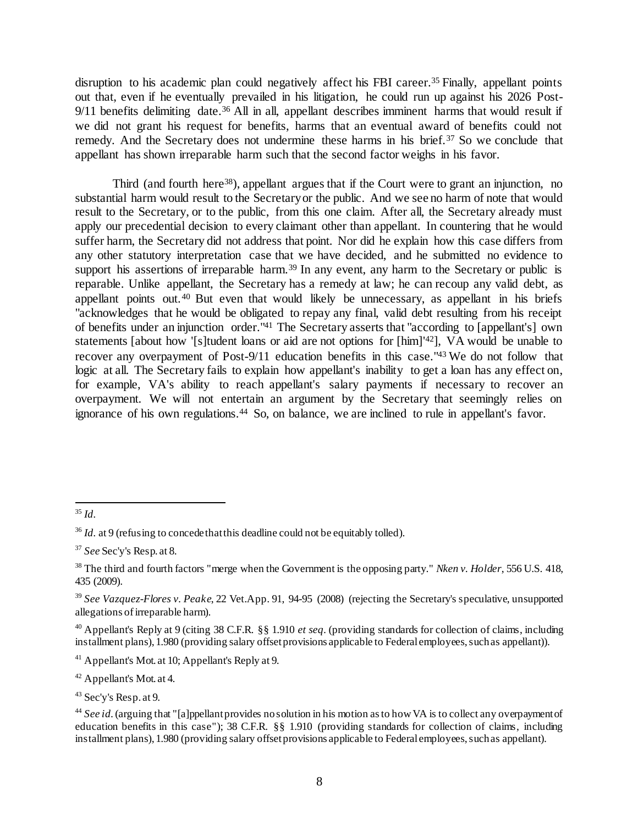disruption to his academic plan could negatively affect his FBI career.<sup>35</sup> Finally, appellant points out that, even if he eventually prevailed in his litigation, he could run up against his 2026 Post-9/11 benefits delimiting date.<sup>36</sup> All in all, appellant describes imminent harms that would result if we did not grant his request for benefits, harms that an eventual award of benefits could not remedy. And the Secretary does not undermine these harms in his brief.<sup>37</sup> So we conclude that appellant has shown irreparable harm such that the second factor weighs in his favor.

Third (and fourth here<sup>38</sup>), appellant argues that if the Court were to grant an injunction, no substantial harm would result to the Secretary or the public. And we see no harm of note that would result to the Secretary, or to the public, from this one claim. After all, the Secretary already must apply our precedential decision to every claimant other than appellant. In countering that he would suffer harm, the Secretary did not address that point. Nor did he explain how this case differs from any other statutory interpretation case that we have decided, and he submitted no evidence to support his assertions of irreparable harm.<sup>39</sup> In any event, any harm to the Secretary or public is reparable. Unlike appellant, the Secretary has a remedy at law; he can recoup any valid debt, as appellant points out.<sup>40</sup> But even that would likely be unnecessary, as appellant in his briefs "acknowledges that he would be obligated to repay any final, valid debt resulting from his receipt of benefits under an injunction order."<sup>41</sup> The Secretary asserts that "according to [appellant's] own statements [about how '[s]tudent loans or aid are not options for [him]'<sup>42</sup>], VA would be unable to recover any overpayment of Post-9/11 education benefits in this case."<sup>43</sup> We do not follow that logic at all. The Secretary fails to explain how appellant's inability to get a loan has any effect on, for example, VA's ability to reach appellant's salary payments if necessary to recover an overpayment. We will not entertain an argument by the Secretary that seemingly relies on ignorance of his own regulations.<sup>44</sup> So, on balance, we are inclined to rule in appellant's favor.

l <sup>35</sup> *Id.*

<sup>&</sup>lt;sup>36</sup> *Id.* at 9 (refusing to concede that this deadline could not be equitably tolled).

<sup>37</sup> *See* Sec'y's Resp. at 8.

<sup>38</sup> The third and fourth factors "merge when the Government is the opposing party." *Nken v. Holder*, 556 U.S. 418, 435 (2009).

<sup>39</sup> *See Vazquez-Flores v. Peake*, 22 Vet.App. 91, 94-95 (2008) (rejecting the Secretary's speculative, unsupported allegations of irreparable harm).

<sup>40</sup> Appellant's Reply at 9 (citing 38 C.F.R. §§ 1.910 *et seq.* (providing standards for collection of claims, including installment plans), 1.980 (providing salary offset provisions applicable to Federal employees, such as appellant)).

<sup>41</sup> Appellant's Mot. at 10; Appellant's Reply at 9.

<sup>42</sup> Appellant's Mot. at 4.

<sup>43</sup> Sec'y's Resp. at 9.

<sup>44</sup> *See id.*(arguing that "[a]ppellant provides no solution in his motion as to how VA is to collect any overpayment of education benefits in this case"); 38 C.F.R. §§ 1.910 (providing standards for collection of claims, including installment plans), 1.980 (providing salary offset provisions applicable to Federal employees, such as appellant).